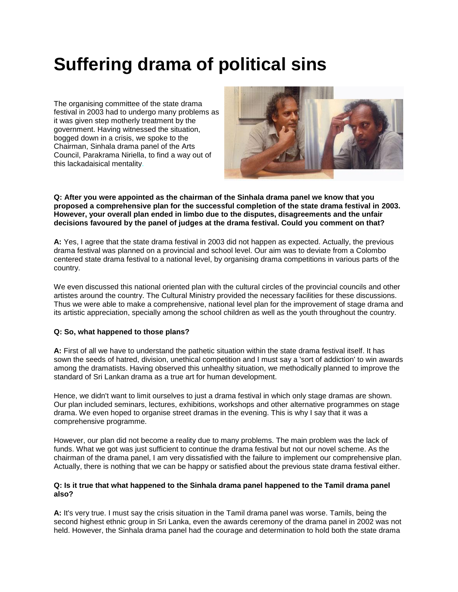# **Suffering drama of political sins**

The organising committee of the state drama festival in 2003 had to undergo many problems as it was given step motherly treatment by the government. Having witnessed the situation, bogged down in a crisis, we spoke to the Chairman, Sinhala drama panel of the Arts Council, Parakrama Niriella, to find a way out of this lackadaisical mentality.



### **Q: After you were appointed as the chairman of the Sinhala drama panel we know that you proposed a comprehensive plan for the successful completion of the state drama festival in 2003. However, your overall plan ended in limbo due to the disputes, disagreements and the unfair decisions favoured by the panel of judges at the drama festival. Could you comment on that?**

**A:** Yes, I agree that the state drama festival in 2003 did not happen as expected. Actually, the previous drama festival was planned on a provincial and school level. Our aim was to deviate from a Colombo centered state drama festival to a national level, by organising drama competitions in various parts of the country.

We even discussed this national oriented plan with the cultural circles of the provincial councils and other artistes around the country. The Cultural Ministry provided the necessary facilities for these discussions. Thus we were able to make a comprehensive, national level plan for the improvement of stage drama and its artistic appreciation, specially among the school children as well as the youth throughout the country.

## **Q: So, what happened to those plans?**

**A:** First of all we have to understand the pathetic situation within the state drama festival itself. It has sown the seeds of hatred, division, unethical competition and I must say a 'sort of addiction' to win awards among the dramatists. Having observed this unhealthy situation, we methodically planned to improve the standard of Sri Lankan drama as a true art for human development.

Hence, we didn't want to limit ourselves to just a drama festival in which only stage dramas are shown. Our plan included seminars, lectures, exhibitions, workshops and other alternative programmes on stage drama. We even hoped to organise street dramas in the evening. This is why I say that it was a comprehensive programme.

However, our plan did not become a reality due to many problems. The main problem was the lack of funds. What we got was just sufficient to continue the drama festival but not our novel scheme. As the chairman of the drama panel, I am very dissatisfied with the failure to implement our comprehensive plan. Actually, there is nothing that we can be happy or satisfied about the previous state drama festival either.

# **Q: Is it true that what happened to the Sinhala drama panel happened to the Tamil drama panel also?**

**A:** It's very true. I must say the crisis situation in the Tamil drama panel was worse. Tamils, being the second highest ethnic group in Sri Lanka, even the awards ceremony of the drama panel in 2002 was not held. However, the Sinhala drama panel had the courage and determination to hold both the state drama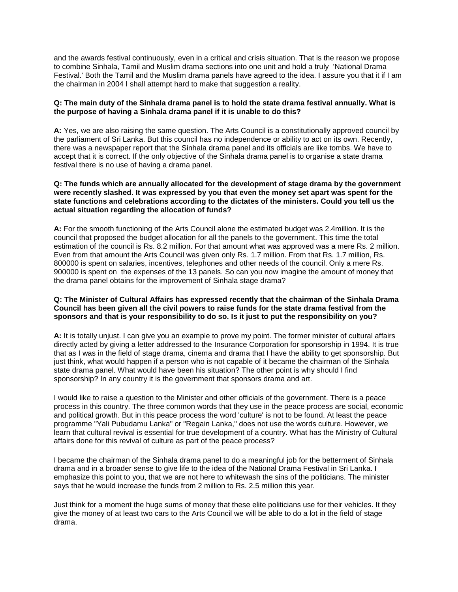and the awards festival continuously, even in a critical and crisis situation. That is the reason we propose to combine Sinhala, Tamil and Muslim drama sections into one unit and hold a truly 'National Drama Festival.' Both the Tamil and the Muslim drama panels have agreed to the idea. I assure you that it if I am the chairman in 2004 I shall attempt hard to make that suggestion a reality.

# **Q: The main duty of the Sinhala drama panel is to hold the state drama festival annually. What is the purpose of having a Sinhala drama panel if it is unable to do this?**

**A:** Yes, we are also raising the same question. The Arts Council is a constitutionally approved council by the parliament of Sri Lanka. But this council has no independence or ability to act on its own. Recently, there was a newspaper report that the Sinhala drama panel and its officials are like tombs. We have to accept that it is correct. If the only objective of the Sinhala drama panel is to organise a state drama festival there is no use of having a drama panel.

## **Q: The funds which are annually allocated for the development of stage drama by the government were recently slashed. It was expressed by you that even the money set apart was spent for the state functions and celebrations according to the dictates of the ministers. Could you tell us the actual situation regarding the allocation of funds?**

**A:** For the smooth functioning of the Arts Council alone the estimated budget was 2.4million. It is the council that proposed the budget allocation for all the panels to the government. This time the total estimation of the council is Rs. 8.2 million. For that amount what was approved was a mere Rs. 2 million. Even from that amount the Arts Council was given only Rs. 1.7 million. From that Rs. 1.7 million, Rs. 800000 is spent on salaries, incentives, telephones and other needs of the council. Only a mere Rs. 900000 is spent on the expenses of the 13 panels. So can you now imagine the amount of money that the drama panel obtains for the improvement of Sinhala stage drama?

## **Q: The Minister of Cultural Affairs has expressed recently that the chairman of the Sinhala Drama Council has been given all the civil powers to raise funds for the state drama festival from the sponsors and that is your responsibility to do so. Is it just to put the responsibility on you?**

**A:** It is totally unjust. I can give you an example to prove my point. The former minister of cultural affairs directly acted by giving a letter addressed to the Insurance Corporation for sponsorship in 1994. It is true that as I was in the field of stage drama, cinema and drama that I have the ability to get sponsorship. But just think, what would happen if a person who is not capable of it became the chairman of the Sinhala state drama panel. What would have been his situation? The other point is why should I find sponsorship? In any country it is the government that sponsors drama and art.

I would like to raise a question to the Minister and other officials of the government. There is a peace process in this country. The three common words that they use in the peace process are social, economic and political growth. But in this peace process the word 'culture' is not to be found. At least the peace programme "Yali Pubudamu Lanka" or "Regain Lanka," does not use the words culture. However, we learn that cultural revival is essential for true development of a country. What has the Ministry of Cultural affairs done for this revival of culture as part of the peace process?

I became the chairman of the Sinhala drama panel to do a meaningful job for the betterment of Sinhala drama and in a broader sense to give life to the idea of the National Drama Festival in Sri Lanka. I emphasize this point to you, that we are not here to whitewash the sins of the politicians. The minister says that he would increase the funds from 2 million to Rs. 2.5 million this year.

Just think for a moment the huge sums of money that these elite politicians use for their vehicles. It they give the money of at least two cars to the Arts Council we will be able to do a lot in the field of stage drama.